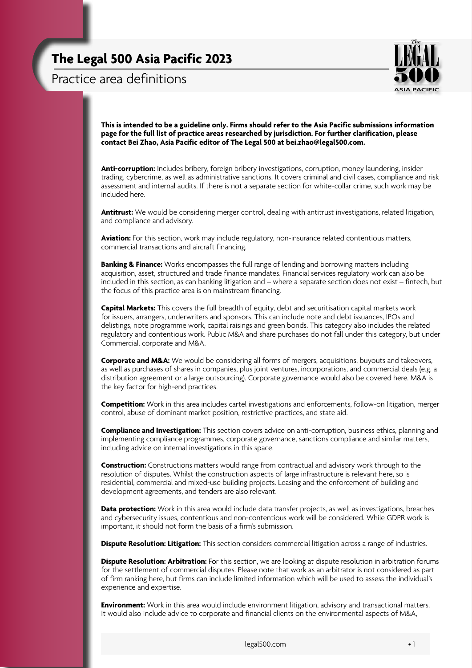Practice area definitions



**This is intended to be a guideline only. Firms should refer to the Asia Pacific submissions information page for the full list of practice areas researched by jurisdiction. For further clarification, please contact Bei Zhao, Asia Pacific editor of The Legal 500 at [bei.zhao@legal500.com](mailto:bei.zhao%40legal500.com?subject=Asia%20Pacific%20-%20practice%20area%20definitions%20query).**

**Anti-corruption:** Includes bribery, foreign bribery investigations, corruption, money laundering, insider trading, cybercrime, as well as administrative sanctions. It covers criminal and civil cases, compliance and risk assessment and internal audits. If there is not a separate section for white-collar crime, such work may be included here.

**Antitrust:** We would be considering merger control, dealing with antitrust investigations, related litigation, and compliance and advisory.

**Aviation:** For this section, work may include regulatory, non-insurance related contentious matters, commercial transactions and aircraft financing.

**Banking & Finance:** Works encompasses the full range of lending and borrowing matters including acquisition, asset, structured and trade finance mandates. Financial services regulatory work can also be included in this section, as can banking litigation and – where a separate section does not exist – fintech, but the focus of this practice area is on mainstream financing.

**Capital Markets:** This covers the full breadth of equity, debt and securitisation capital markets work for issuers, arrangers, underwriters and sponsors. This can include note and debt issuances, IPOs and delistings, note programme work, capital raisings and green bonds. This category also includes the related regulatory and contentious work. Public M&A and share purchases do not fall under this category, but under Commercial, corporate and M&A.

**Corporate and M&A:** We would be considering all forms of mergers, acquisitions, buyouts and takeovers, as well as purchases of shares in companies, plus joint ventures, incorporations, and commercial deals (e.g. a distribution agreement or a large outsourcing). Corporate governance would also be covered here. M&A is the key factor for high-end practices.

**Competition:** Work in this area includes cartel investigations and enforcements, follow-on litigation, merger control, abuse of dominant market position, restrictive practices, and state aid.

**Compliance and Investigation:** This section covers advice on anti-corruption, business ethics, planning and implementing compliance programmes, corporate governance, sanctions compliance and similar matters, including advice on internal investigations in this space.

**Construction:** Constructions matters would range from contractual and advisory work through to the resolution of disputes. Whilst the construction aspects of large infrastructure is relevant here, so is residential, commercial and mixed-use building projects. Leasing and the enforcement of building and development agreements, and tenders are also relevant.

**Data protection:** Work in this area would include data transfer projects, as well as investigations, breaches and cybersecurity issues, contentious and non-contentious work will be considered. While GDPR work is important, it should not form the basis of a firm's submission.

**Dispute Resolution: Litigation:** This section considers commercial litigation across a range of industries.

**Dispute Resolution: Arbitration:** For this section, we are looking at dispute resolution in arbitration forums for the settlement of commercial disputes. Please note that work as an arbitrator is not considered as part of firm ranking here, but firms can include limited information which will be used to assess the individual's experience and expertise.

**Environment:** Work in this area would include environment litigation, advisory and transactional matters. It would also include advice to corporate and financial clients on the environmental aspects of M&A,

[legal500.com](http://www.legal500.com)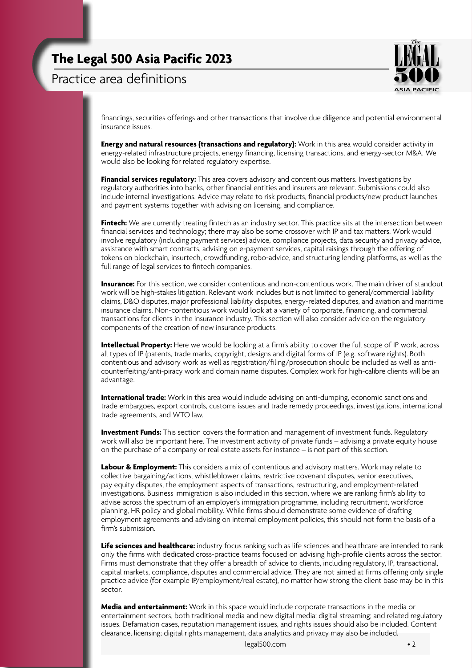Practice area definitions



financings, securities offerings and other transactions that involve due diligence and potential environmental insurance issues.

**Energy and natural resources (transactions and regulatory):** Work in this area would consider activity in energy-related infrastructure projects, energy financing, licensing transactions, and energy-sector M&A. We would also be looking for related regulatory expertise.

**Financial services regulatory:** This area covers advisory and contentious matters. Investigations by regulatory authorities into banks, other financial entities and insurers are relevant. Submissions could also include internal investigations. Advice may relate to risk products, financial products/new product launches and payment systems together with advising on licensing, and compliance.

**Fintech:** We are currently treating fintech as an industry sector. This practice sits at the intersection between financial services and technology; there may also be some crossover with IP and tax matters. Work would involve regulatory (including payment services) advice, compliance projects, data security and privacy advice, assistance with smart contracts, advising on e-payment services, capital raisings through the offering of tokens on blockchain, insurtech, crowdfunding, robo-advice, and structuring lending platforms, as well as the full range of legal services to fintech companies.

**Insurance:** For this section, we consider contentious and non-contentious work. The main driver of standout work will be high-stakes litigation. Relevant work includes but is not limited to general/commercial liability claims, D&O disputes, major professional liability disputes, energy-related disputes, and aviation and maritime insurance claims. Non-contentious work would look at a variety of corporate, financing, and commercial transactions for clients in the insurance industry. This section will also consider advice on the regulatory components of the creation of new insurance products.

**Intellectual Property:** Here we would be looking at a firm's ability to cover the full scope of IP work, across all types of IP (patents, trade marks, copyright, designs and digital forms of IP (e.g. software rights). Both contentious and advisory work as well as registration/filing/prosecution should be included as well as anticounterfeiting/anti-piracy work and domain name disputes. Complex work for high-calibre clients will be an advantage.

**International trade:** Work in this area would include advising on anti-dumping, economic sanctions and trade embargoes, export controls, customs issues and trade remedy proceedings, investigations, international trade agreements, and WTO law.

**Investment Funds:** This section covers the formation and management of investment funds. Regulatory work will also be important here. The investment activity of private funds – advising a private equity house on the purchase of a company or real estate assets for instance – is not part of this section.

**Labour & Employment:** This considers a mix of contentious and advisory matters. Work may relate to collective bargaining/actions, whistleblower claims, restrictive covenant disputes, senior executives, pay equity disputes, the employment aspects of transactions, restructuring, and employment-related investigations. Business immigration is also included in this section, where we are ranking firm's ability to advise across the spectrum of an employer's immigration programme, including recruitment, workforce planning, HR policy and global mobility. While firms should demonstrate some evidence of drafting employment agreements and advising on internal employment policies, this should not form the basis of a firm's submission.

**Life sciences and healthcare:** industry focus ranking such as life sciences and healthcare are intended to rank only the firms with dedicated cross-practice teams focused on advising high-profile clients across the sector. Firms must demonstrate that they offer a breadth of advice to clients, including regulatory, IP, transactional, capital markets, compliance, disputes and commercial advice. They are not aimed at firms offering only single practice advice (for example IP/employment/real estate), no matter how strong the client base may be in this sector.

**Media and entertainment:** Work in this space would include corporate transactions in the media or entertainment sectors, both traditional media and new digital media; digital streaming; and related regulatory issues. Defamation cases, reputation management issues, and rights issues should also be included. Content clearance, licensing; digital rights management, data analytics and privacy may also be included.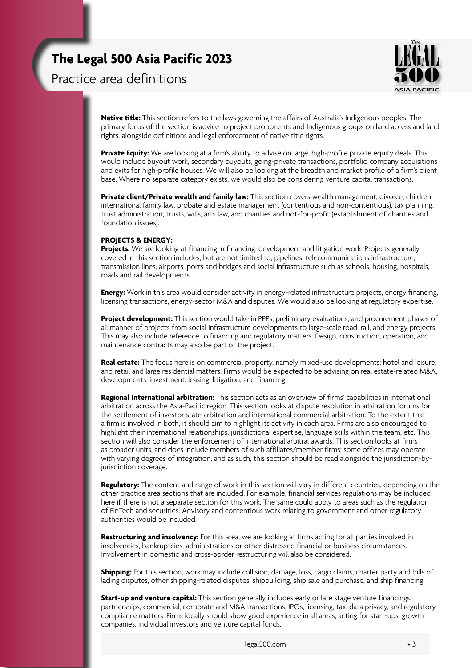Practice area definitions



**Native title:** This section refers to the laws governing the affairs of Australia's Indigenous peoples. The primary focus of the section is advice to project proponents and Indigenous groups on land access and land rights, alongside definitions and legal enforcement of native title rights.

**Private Equity:** We are looking at a firm's ability to advise on large, high-profile private equity deals. This would include buyout work, secondary buyouts, going-private transactions, portfolio company acquisitions and exits for high-profile houses. We will also be looking at the breadth and market profile of a firm's client base. Where no separate category exists, we would also be considering venture capital transactions.

**Private client/Private wealth and family law:** This section covers wealth management, divorce, children, international family law, probate and estate management (contentious and non-contentious), tax planning, trust administration, trusts, wills, arts law, and charities and not-for-profit (establishment of charities and foundation issues).

#### **Projects & Energy:**

**Projects:** We are looking at financing, refinancing, development and litigation work. Projects generally covered in this section includes, but are not limited to, pipelines, telecommunications infrastructure, transmission lines, airports, ports and bridges and social infrastructure such as schools, housing, hospitals, roads and rail developments.

**Energy:** Work in this area would consider activity in energy-related infrastructure projects, energy financing, licensing transactions, energy-sector M&A and disputes. We would also be looking at regulatory expertise.

**Project development:** This section would take in PPPs, preliminary evaluations, and procurement phases of all manner of projects from social infrastructure developments to large-scale road, rail, and energy projects. This may also include reference to financing and regulatory matters. Design, construction, operation, and maintenance contracts may also be part of the project.

**Real estate:** The focus here is on commercial property, namely mixed-use developments; hotel and leisure, and retail and large residential matters. Firms would be expected to be advising on real estate-related M&A, developments, investment, leasing, litigation, and financing.

**Regional International arbitration:** This section acts as an overview of firms' capabilities in international arbitration across the Asia-Pacific region. This section looks at dispute resolution in arbitration forums for the settlement of investor state arbitration and international commercial arbitration. To the extent that a firm is involved in both, it should aim to highlight its activity in each area. Firms are also encouraged to highlight their international relationships, jurisdictional expertise, language skills within the team, etc. This section will also consider the enforcement of international arbitral awards. This section looks at firms as broader units, and does include members of such affiliates/member firms; some offices may operate with varying degrees of integration, and as such, this section should be read alongside the jurisdiction-byjurisdiction coverage.

**Regulatory:** The content and range of work in this section will vary in different countries, depending on the other practice area sections that are included. For example, financial services regulations may be included here if there is not a separate section for this work. The same could apply to areas such as the regulation of FinTech and securities. Advisory and contentious work relating to government and other regulatory authorities would be included.

**Restructuring and insolvency:** For this area, we are looking at firms acting for all parties involved in insolvencies, bankruptcies, administrations or other distressed financial or business circumstances. Involvement in domestic and cross-border restructuring will also be considered.

**Shipping:** For this section, work may include collision, damage, loss, cargo claims, charter party and bills of lading disputes, other shipping-related disputes, shipbuilding, ship sale and purchase, and ship financing.

**Start-up and venture capital:** This section generally includes early or late stage venture financings, partnerships, commercial, corporate and M&A transactions, IPOs, licensing, tax, data privacy, and regulatory compliance matters. Firms ideally should show good experience in all areas, acting for start-ups, growth companies, individual investors and venture capital funds.